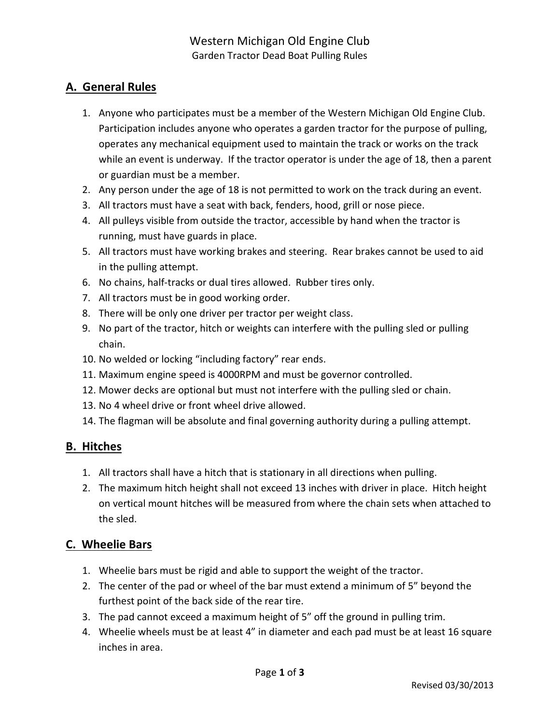# A. General Rules

- 1. Anyone who participates must be a member of the Western Michigan Old Engine Club. Participation includes anyone who operates a garden tractor for the purpose of pulling, operates any mechanical equipment used to maintain the track or works on the track while an event is underway. If the tractor operator is under the age of 18, then a parent or guardian must be a member.
- 2. Any person under the age of 18 is not permitted to work on the track during an event.
- 3. All tractors must have a seat with back, fenders, hood, grill or nose piece.
- 4. All pulleys visible from outside the tractor, accessible by hand when the tractor is running, must have guards in place.
- 5. All tractors must have working brakes and steering. Rear brakes cannot be used to aid in the pulling attempt.
- 6. No chains, half-tracks or dual tires allowed. Rubber tires only.
- 7. All tractors must be in good working order.
- 8. There will be only one driver per tractor per weight class.
- 9. No part of the tractor, hitch or weights can interfere with the pulling sled or pulling chain.
- 10. No welded or locking "including factory" rear ends.
- 11. Maximum engine speed is 4000RPM and must be governor controlled.
- 12. Mower decks are optional but must not interfere with the pulling sled or chain.
- 13. No 4 wheel drive or front wheel drive allowed.
- 14. The flagman will be absolute and final governing authority during a pulling attempt.

## B. Hitches

- 1. All tractors shall have a hitch that is stationary in all directions when pulling.
- 2. The maximum hitch height shall not exceed 13 inches with driver in place. Hitch height on vertical mount hitches will be measured from where the chain sets when attached to the sled.

## C. Wheelie Bars

- 1. Wheelie bars must be rigid and able to support the weight of the tractor.
- 2. The center of the pad or wheel of the bar must extend a minimum of 5" beyond the furthest point of the back side of the rear tire.
- 3. The pad cannot exceed a maximum height of 5" off the ground in pulling trim.
- 4. Wheelie wheels must be at least 4" in diameter and each pad must be at least 16 square inches in area.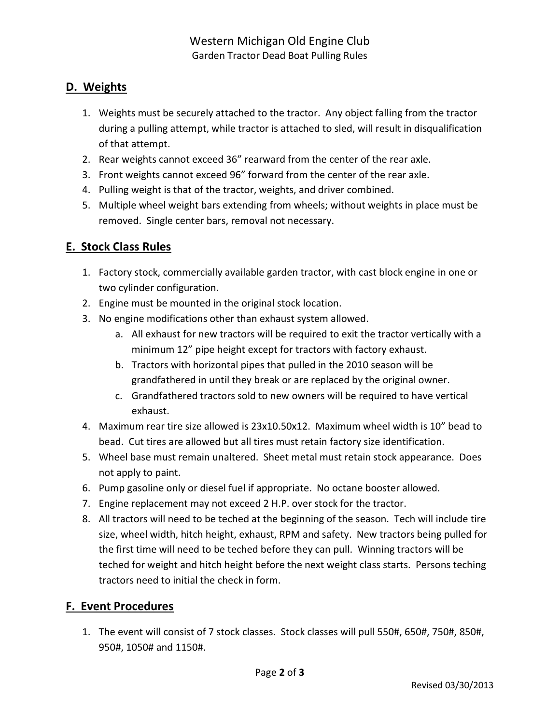# D. Weights

- 1. Weights must be securely attached to the tractor. Any object falling from the tractor during a pulling attempt, while tractor is attached to sled, will result in disqualification of that attempt.
- 2. Rear weights cannot exceed 36" rearward from the center of the rear axle.
- 3. Front weights cannot exceed 96" forward from the center of the rear axle.
- 4. Pulling weight is that of the tractor, weights, and driver combined.
- 5. Multiple wheel weight bars extending from wheels; without weights in place must be removed. Single center bars, removal not necessary.

# E. Stock Class Rules

- 1. Factory stock, commercially available garden tractor, with cast block engine in one or two cylinder configuration.
- 2. Engine must be mounted in the original stock location.
- 3. No engine modifications other than exhaust system allowed.
	- a. All exhaust for new tractors will be required to exit the tractor vertically with a minimum 12" pipe height except for tractors with factory exhaust.
	- b. Tractors with horizontal pipes that pulled in the 2010 season will be grandfathered in until they break or are replaced by the original owner.
	- c. Grandfathered tractors sold to new owners will be required to have vertical exhaust.
- 4. Maximum rear tire size allowed is 23x10.50x12. Maximum wheel width is 10" bead to bead. Cut tires are allowed but all tires must retain factory size identification.
- 5. Wheel base must remain unaltered. Sheet metal must retain stock appearance. Does not apply to paint.
- 6. Pump gasoline only or diesel fuel if appropriate. No octane booster allowed.
- 7. Engine replacement may not exceed 2 H.P. over stock for the tractor.
- 8. All tractors will need to be teched at the beginning of the season. Tech will include tire size, wheel width, hitch height, exhaust, RPM and safety. New tractors being pulled for the first time will need to be teched before they can pull. Winning tractors will be teched for weight and hitch height before the next weight class starts. Persons teching tractors need to initial the check in form.

## F. Event Procedures

1. The event will consist of 7 stock classes. Stock classes will pull 550#, 650#, 750#, 850#, 950#, 1050# and 1150#.